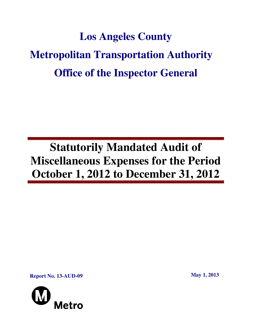# **Los Angeles County Metropolitan Transportation Authority Office of the Inspector General**

## **Statutorily Mandated Audit of Miscellaneous Expenses for the Period October 1, 2012 to December 31, 2012**

**Report No. 13-AUD-09** May 1, 2013

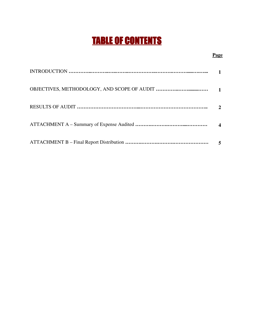## TABLE OF CONTENTS

#### **Page**

| $\boldsymbol{\mathcal{D}}$ |
|----------------------------|
|                            |
|                            |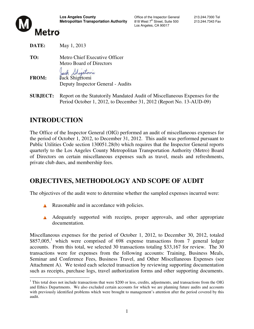

Los Angeles, CA 90017



**DATE:** May 1, 2013

**TO:** Metro Chief Executive Officer Metro Board of Directors

Jack Shigetoni

**FROM:** Jack Shigetomi Deputy Inspector General - Audits

**SUBJECT:** Report on the Statutorily Mandated Audit of Miscellaneous Expenses for the Period October 1, 2012, to December 31, 2012 (Report No. 13-AUD-09)

## **INTRODUCTION**

The Office of the Inspector General (OIG) performed an audit of miscellaneous expenses for the period of October 1, 2012, to December 31, 2012. This audit was performed pursuant to Public Utilities Code section 130051.28(b) which requires that the Inspector General reports quarterly to the Los Angeles County Metropolitan Transportation Authority (Metro) Board of Directors on certain miscellaneous expenses such as travel, meals and refreshments, private club dues, and membership fees.

## **OBJECTIVES, METHODOLOGY AND SCOPE OF AUDIT**

The objectives of the audit were to determine whether the sampled expenses incurred were:

- Reasonable and in accordance with policies.
- A Adequately supported with receipts, proper approvals, and other appropriate documentation.

Miscellaneous expenses for the period of October 1, 2012, to December 30, 2012, totaled  $$857,005$ ,<sup>1</sup> which were comprised of 698 expense transactions from 7 general ledger accounts. From this total, we selected 30 transactions totaling \$33,167 for review. The 30 transactions were for expenses from the following accounts: Training, Business Meals, Seminar and Conference Fees, Business Travel, and Other Miscellaneous Expenses (see Attachment A). We tested each selected transaction by reviewing supporting documentation such as receipts, purchase logs, travel authorization forms and other supporting documents.

 $\overline{a}$  $1$  This total does not include transactions that were \$200 or less, credits, adjustments, and transactions from the OIG and Ethics Departments. We also excluded certain accounts for which we are planning future audits and accounts with previously identified problems which were brought to management's attention after the period covered by this audit.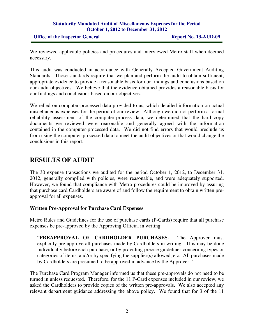#### **Statutorily Mandated Audit of Miscellaneous Expenses for the Period October 1, 2012 to December 31, 2012**

#### **Office of the Inspector General Report No. 13-AUD-09**

We reviewed applicable policies and procedures and interviewed Metro staff when deemed necessary.

This audit was conducted in accordance with Generally Accepted Government Auditing Standards. Those standards require that we plan and perform the audit to obtain sufficient, appropriate evidence to provide a reasonable basis for our findings and conclusions based on our audit objectives. We believe that the evidence obtained provides a reasonable basis for our findings and conclusions based on our objectives.

We relied on computer-processed data provided to us, which detailed information on actual miscellaneous expenses for the period of our review. Although we did not perform a formal reliability assessment of the computer-process data, we determined that the hard copy documents we reviewed were reasonable and generally agreed with the information contained in the computer-processed data. We did not find errors that would preclude us from using the computer-processed data to meet the audit objectives or that would change the conclusions in this report.

## **RESULTS OF AUDIT**

The 30 expense transactions we audited for the period October 1, 2012, to December 31, 2012, generally complied with policies, were reasonable, and were adequately supported. However, we found that compliance with Metro procedures could be improved by assuring that purchase card Cardholders are aware of and follow the requirement to obtain written preapproval for all expenses.

#### **Written Pre-Approval for Purchase Card Expenses**

Metro Rules and Guidelines for the use of purchase cards (P-Cards) require that all purchase expenses be pre-approved by the Approving Official in writing.

"**PREAPPROVAL OF CARDHOLDER PURCHASES.** The Approver must explicitly pre-approve all purchases made by Cardholders in writing. This may be done individually before each purchase, or by providing precise guidelines concerning types or categories of items, and/or by specifying the supplier(s) allowed, etc. All purchases made by Cardholders are presumed to be approved in advance by the Approver."

The Purchase Card Program Manager informed us that these pre-approvals do not need to be turned in unless requested. Therefore, for the 11 P-Card expenses included in our review, we asked the Cardholders to provide copies of the written pre-approvals. We also accepted any relevant department guidance addressing the above policy. We found that for 3 of the 11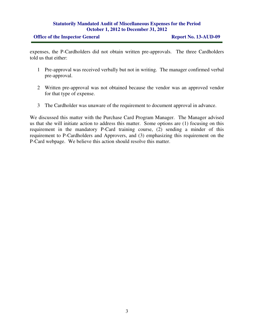#### **Statutorily Mandated Audit of Miscellaneous Expenses for the Period October 1, 2012 to December 31, 2012**

#### **Office of the Inspector General Report No. 13-AUD-09**

expenses, the P-Cardholders did not obtain written pre-approvals. The three Cardholders told us that either:

- 1 Pre-approval was received verbally but not in writing. The manager confirmed verbal pre-approval.
- 2 Written pre-approval was not obtained because the vendor was an approved vendor for that type of expense.
- 3 The Cardholder was unaware of the requirement to document approval in advance.

We discussed this matter with the Purchase Card Program Manager. The Manager advised us that she will initiate action to address this matter. Some options are (1) focusing on this requirement in the mandatory P-Card training course, (2) sending a minder of this requirement to P-Cardholders and Approvers, and (3) emphasizing this requirement on the P-Card webpage. We believe this action should resolve this matter.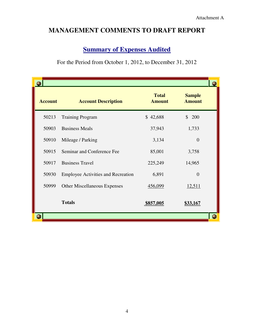## **MANAGEMENT COMMENTS TO DRAFT REPORT**

### **<u>Summary of Expenses Audited</u>**

For the Period from October 1, 2012, to December 31, 2012

| <b>Account</b> | <b>Account Description</b>                | <b>Total</b><br><b>Amount</b> | <b>Sample</b><br><b>Amount</b> |  |
|----------------|-------------------------------------------|-------------------------------|--------------------------------|--|
| 50213          | <b>Training Program</b>                   | \$42,688                      | $\mathbb{S}$<br>200            |  |
| 50903          | <b>Business Meals</b>                     | 37,943                        | 1,733                          |  |
| 50910          | Mileage / Parking                         | 3,134                         | $\Omega$                       |  |
| 50915          | Seminar and Conference Fee                | 85,001                        | 3,758                          |  |
| 50917          | <b>Business Travel</b>                    | 225,249                       | 14,965                         |  |
| 50930          | <b>Employee Activities and Recreation</b> | 6,891                         | $\Omega$                       |  |
| 50999          | <b>Other Miscellaneous Expenses</b>       | 456,099                       | 12,511                         |  |
|                | <b>Totals</b>                             | \$857,005                     | \$33,167                       |  |
|                |                                           |                               |                                |  |